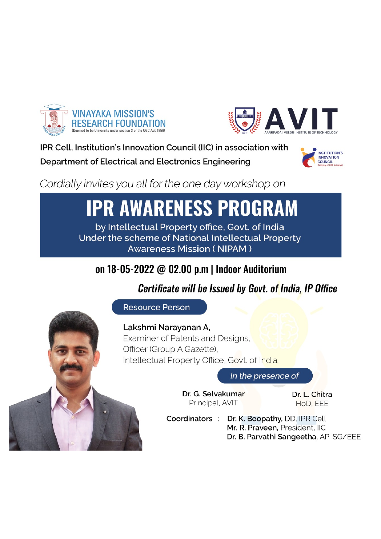



IPR Cell. Institution's Innovation Council (IIC) in association with

Department of Electrical and Electronics Engineering



Cordially invites you all for the one day workshop on

# **IPR AWARENESS PROGRAM**

by Intellectual Property office, Govt. of India Under the scheme of National Intellectual Property **Awareness Mission (NIPAM)** 

# on 18-05-2022 @ 02.00 p.m | Indoor Auditorium

# **Certificate will be Issued by Govt. of India, IP Office**

**Resource Person** 

Lakshmi Narayanan A, Examiner of Patents and Designs, Officer (Group A Gazette), Intellectual Property Office, Govt. of India.

In the presence of

Dr. G. Selvakumar Principal, AVIT

Dr. L. Chitra HoD. EEE

Coordinators: Dr. K. Boopathy, DD, IPR Cell Mr. R. Praveen, President, IIC Dr. B. Parvathi Sangeetha, AP-SG/EEE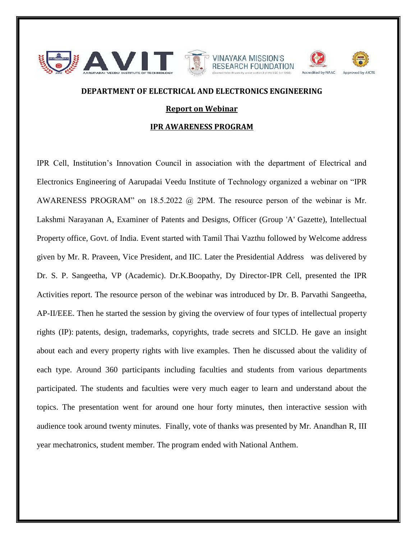

## **DEPARTMENT OF ELECTRICAL AND ELECTRONICS ENGINEERING**

### **Report on Webinar**

#### **IPR AWARENESS PROGRAM**

IPR Cell, Institution's Innovation Council in association with the department of Electrical and Electronics Engineering of Aarupadai Veedu Institute of Technology organized a webinar on "IPR AWARENESS PROGRAM" on 18.5.2022 @ 2PM. The resource person of the webinar is Mr. Lakshmi Narayanan A, Examiner of Patents and Designs, Officer (Group 'A' Gazette), Intellectual Property office, Govt. of India. Event started with Tamil Thai Vazthu followed by Welcome address given by Mr. R. Praveen, Vice President, and IIC. Later the Presidential Address was delivered by Dr. S. P. Sangeetha, VP (Academic). Dr.K.Boopathy, Dy Director-IPR Cell, presented the IPR Activities report. The resource person of the webinar was introduced by Dr. B. Parvathi Sangeetha, AP-II/EEE. Then he started the session by giving the overview of four types of intellectual property rights (IP): patents, design, trademarks, copyrights, trade secrets and SICLD. He gave an insight about each and every property rights with live examples. Then he discussed about the validity of each type. Around 360 participants including faculties and students from various departments participated. The students and faculties were very much eager to learn and understand about the topics. The presentation went for around one hour forty minutes, then interactive session with audience took around twenty minutes. Finally, vote of thanks was presented by Mr. Anandhan R, III year mechatronics, student member. The program ended with National Anthem.